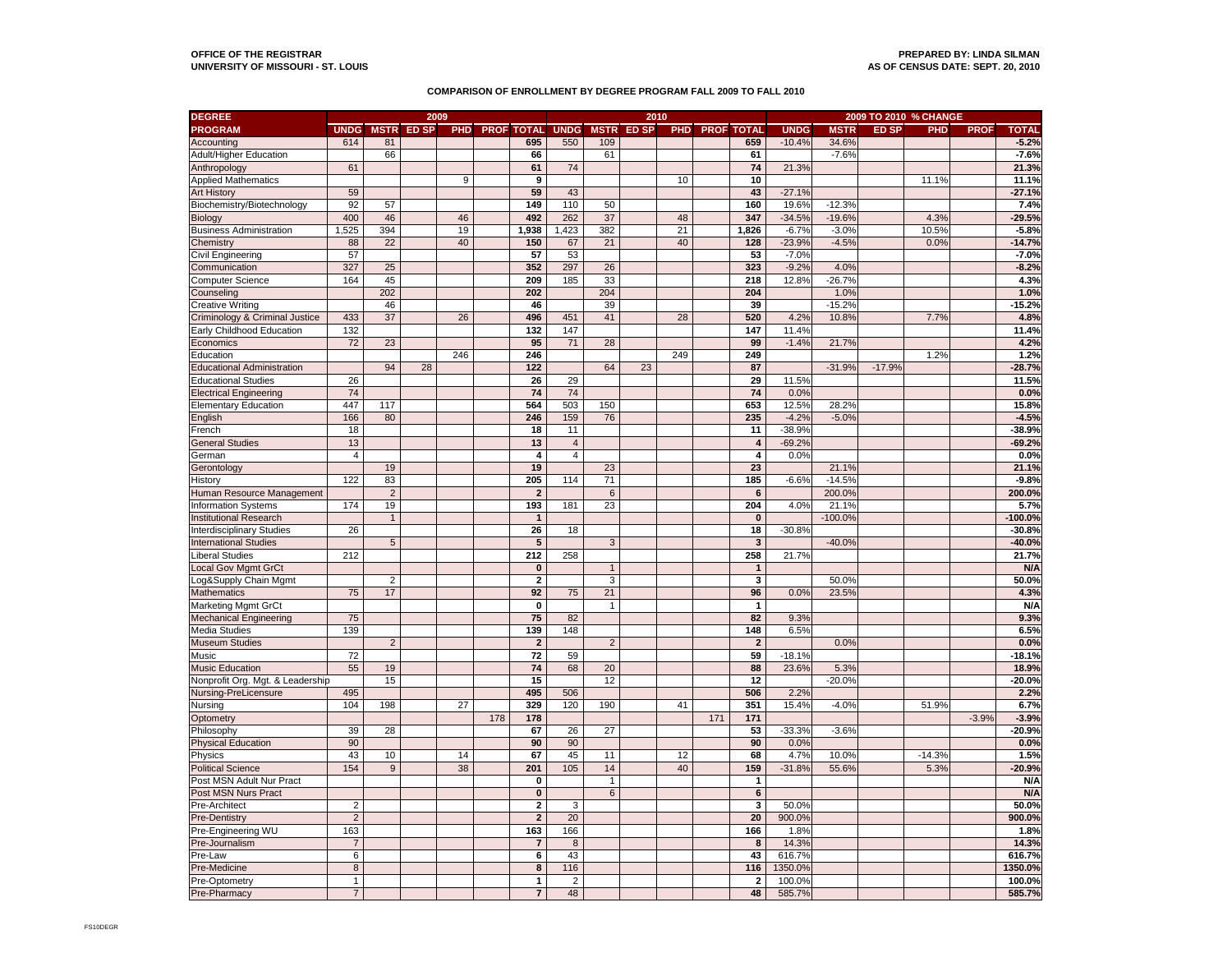## **COMPARISON OF ENROLLMENT BY DEGREE PROGRAM FALL 2009 TO FALL 2010**

| <b>DEGREE</b>                                                    | 2009           |                |              |     |     |                         |                |                           |              | 2010       |     |                         | 2009 TO 2010 % CHANGE |             |              |          |             |              |  |
|------------------------------------------------------------------|----------------|----------------|--------------|-----|-----|-------------------------|----------------|---------------------------|--------------|------------|-----|-------------------------|-----------------------|-------------|--------------|----------|-------------|--------------|--|
| <b>PROGRAM</b>                                                   | <b>UNDG</b>    | <b>MSTR</b>    | <b>ED SP</b> | PHD |     | <b>PROF TOTAL</b>       | <b>UNDG</b>    | <b>MSTR</b>               | <b>ED SP</b> | <b>PHD</b> |     | <b>PROF TOTAL</b>       | <b>UNDG</b>           | <b>MSTR</b> | <b>ED SP</b> | PHD      | <b>PROF</b> | <b>TOTAL</b> |  |
| Accounting                                                       | 614            | 81             |              |     |     | 695                     | 550            | 109                       |              |            |     | 659                     | $-10.4%$              | 34.6%       |              |          |             | $-5.2%$      |  |
| Adult/Higher Education                                           |                | 66             |              |     |     | 66                      |                | 61                        |              |            |     | 61                      |                       | $-7.6%$     |              |          |             | $-7.6%$      |  |
| Anthropology                                                     | 61             |                |              |     |     | 61                      | 74             |                           |              |            |     | 74                      | 21.3%                 |             |              |          |             | 21.3%        |  |
| <b>Applied Mathematics</b>                                       |                |                |              | 9   |     | 9                       |                |                           |              | 10         |     | 10                      |                       |             |              | 11.1%    |             | 11.1%        |  |
| <b>Art History</b>                                               | 59             |                |              |     |     | 59                      | 43             |                           |              |            |     | 43                      | $-27.1%$              |             |              |          |             | $-27.1%$     |  |
| Biochemistry/Biotechnology                                       | 92             | 57             |              |     |     | 149                     | 110            | 50                        |              |            |     | 160                     | 19.6%                 | $-12.3%$    |              |          |             | 7.4%         |  |
| Biology                                                          | 400            | 46             |              | 46  |     | 492                     | 262            | 37                        |              | 48         |     | 347                     | $-34.5%$              | $-19.6%$    |              | 4.3%     |             | $-29.5%$     |  |
| <b>Business Administration</b>                                   | 1,525          | 394            |              | 19  |     | 1,938                   | 1,423          | 382                       |              | 21         |     | 1,826                   | $-6.7%$               | $-3.0%$     |              | 10.5%    |             | $-5.8%$      |  |
| Chemistry                                                        | 88             | 22             |              | 40  |     | 150                     | 67             | 21                        |              | 40         |     | 128                     | $-23.9%$              | $-4.5%$     |              | 0.0%     |             | $-14.7%$     |  |
| Civil Engineering                                                | 57             |                |              |     |     | 57                      | 53             |                           |              |            |     | 53                      | $-7.0%$               |             |              |          |             | $-7.0%$      |  |
| Communication                                                    | 327            | 25             |              |     |     | 352                     | 297            | 26                        |              |            |     | 323                     | $-9.2%$               | 4.0%        |              |          |             | $-8.2%$      |  |
| <b>Computer Science</b>                                          | 164            | 45             |              |     |     | 209                     | 185            | 33                        |              |            |     | 218                     | 12.8%                 | $-26.7%$    |              |          |             | 4.3%         |  |
| Counseling                                                       |                | 202            |              |     |     | 202                     |                | 204                       |              |            |     | 204                     |                       | 1.0%        |              |          |             | 1.0%         |  |
| Creative Writing                                                 |                | 46             |              |     |     | 46                      |                | 39                        |              |            |     | 39                      |                       | $-15.2%$    |              |          |             | $-15.2%$     |  |
| Criminology & Criminal Justice                                   | 433            | 37             |              | 26  |     | 496                     | 451            | 41                        |              | 28         |     | 520                     | 4.2%                  | 10.8%       |              | 7.7%     |             | 4.8%         |  |
| Early Childhood Education                                        | 132            |                |              |     |     | 132                     | 147            |                           |              |            |     | 147                     | 11.4%                 |             |              |          |             | 11.4%        |  |
| Economics                                                        | 72             | 23             |              |     |     | 95                      | 71             | 28                        |              |            |     | 99                      | $-1.4%$               | 21.7%       |              |          |             | 4.2%         |  |
| Education                                                        |                |                |              | 246 |     | 246                     |                |                           |              | 249        |     | 249                     |                       |             |              | 1.2%     |             | 1.2%         |  |
| <b>Educational Administration</b>                                |                | 94             | 28           |     |     | 122                     |                | 64                        | 23           |            |     | 87                      |                       | $-31.9%$    | $-17.9%$     |          |             | $-28.7%$     |  |
| <b>Educational Studies</b>                                       | 26             |                |              |     |     | 26                      | 29             |                           |              |            |     | 29                      | 11.5%                 |             |              |          |             | 11.5%        |  |
| <b>Electrical Engineering</b>                                    | 74             |                |              |     |     | 74                      | 74             |                           |              |            |     | 74                      | 0.0%                  |             |              |          |             | 0.0%         |  |
| Elementary Education                                             | 447            | 117            |              |     |     | 564                     | 503            | 150                       |              |            |     | 653                     | 12.5%                 | 28.2%       |              |          |             | 15.8%        |  |
| <b>English</b>                                                   | 166            | 80             |              |     |     | 246                     | 159            | 76                        |              |            |     | 235                     | $-4.2%$               | $-5.0%$     |              |          |             | $-4.5%$      |  |
| French                                                           | 18             |                |              |     |     | 18                      | 11             |                           |              |            |     | 11                      | $-38.9%$              |             |              |          |             | $-38.9%$     |  |
| <b>General Studies</b>                                           | 13             |                |              |     |     | 13                      | $\overline{4}$ |                           |              |            |     | 4                       | $-69.2%$              |             |              |          |             | $-69.2%$     |  |
| German                                                           | $\overline{4}$ |                |              |     |     | $\overline{4}$          | $\overline{4}$ |                           |              |            |     | $\overline{\mathbf{4}}$ | 0.0%                  |             |              |          |             | 0.0%         |  |
| <b>Gerontology</b>                                               |                | 19             |              |     |     | 19                      |                | 23                        |              |            |     | 23                      |                       | 21.1%       |              |          |             | 21.1%        |  |
| History                                                          | 122            | 83             |              |     |     | 205                     | 114            | 71                        |              |            |     | 185                     | $-6.6%$               | $-14.5%$    |              |          |             | $-9.8%$      |  |
|                                                                  |                | $\overline{2}$ |              |     |     | $\overline{2}$          |                |                           |              |            |     | 6                       |                       | 200.0%      |              |          |             | 200.0%       |  |
| Human Resource Management                                        | 174            | 19             |              |     |     | 193                     | 181            | $\boldsymbol{6}$<br>23    |              |            |     | 204                     | 4.0%                  | 21.1%       |              |          |             | 5.7%         |  |
| <b>Information Systems</b><br><b>Institutional Research</b>      |                | $\overline{1}$ |              |     |     | $\mathbf{1}$            |                |                           |              |            |     | $\bf{0}$                |                       | $-100.0%$   |              |          |             | $-100.0%$    |  |
|                                                                  | 26             |                |              |     |     | 26                      | 18             |                           |              |            |     | 18                      | $-30.8%$              |             |              |          |             | $-30.8%$     |  |
| <b>Interdisciplinary Studies</b><br><b>International Studies</b> |                | $\,$ 5 $\,$    |              |     |     | 5                       |                | $\ensuremath{\mathsf{3}}$ |              |            |     | 3                       |                       | $-40.0%$    |              |          |             | $-40.0%$     |  |
| <b>Liberal Studies</b>                                           | 212            |                |              |     |     | 212                     | 258            |                           |              |            |     | 258                     | 21.7%                 |             |              |          |             | 21.7%        |  |
|                                                                  |                |                |              |     |     | $\bf{0}$                |                | $\mathbf{1}$              |              |            |     | $\mathbf{1}$            |                       |             |              |          |             | N/A          |  |
| ocal Gov Mgmt GrCt                                               |                | $\overline{2}$ |              |     |     | $\overline{2}$          |                | 3                         |              |            |     | 3                       |                       | 50.0%       |              |          |             | 50.0%        |  |
| og&Supply Chain Mgmt                                             | 75             | 17             |              |     |     | 92                      | 75             | 21                        |              |            |     | 96                      | 0.0%                  | 23.5%       |              |          |             | 4.3%         |  |
| Mathematics                                                      |                |                |              |     |     |                         |                | 1                         |              |            |     | $\mathbf{1}$            |                       |             |              |          |             |              |  |
| Marketing Mgmt GrCt                                              |                |                |              |     |     | 0                       |                |                           |              |            |     | 82                      | 9.3%                  |             |              |          |             | N/A          |  |
| <b>Mechanical Engineering</b><br><b>Media Studies</b>            | 75<br>139      |                |              |     |     | 75<br>139               | 82<br>148      |                           |              |            |     | 148                     | 6.5%                  |             |              |          |             | 9.3%<br>6.5% |  |
|                                                                  |                | $\overline{2}$ |              |     |     | $\overline{2}$          |                | $\overline{2}$            |              |            |     | $\overline{2}$          |                       | 0.0%        |              |          |             | 0.0%         |  |
| <b>Museum Studies</b><br>Music                                   | 72             |                |              |     |     | 72                      | 59             |                           |              |            |     | 59                      | $-18.1%$              |             |              |          |             | $-18.1%$     |  |
|                                                                  |                |                |              |     |     | 74                      | 68             |                           |              |            |     | 88                      |                       |             |              |          |             |              |  |
| <b>Music Education</b>                                           | 55             | 19             |              |     |     | 15                      |                | 20                        |              |            |     |                         | 23.6%                 | 5.3%        |              |          |             | 18.9%        |  |
| Nonprofit Org. Mgt. & Leadership                                 |                | 15             |              |     |     |                         |                | 12                        |              |            |     | 12                      |                       | $-20.0%$    |              |          |             | $-20.0%$     |  |
| Nursing-PreLicensure                                             | 495            |                |              |     |     | 495                     | 506            |                           |              |            |     | 506                     | 2.2%                  |             |              |          |             | 2.2%         |  |
| Nursing                                                          | 104            | 198            |              | 27  |     | 329                     | 120            | 190                       |              | 41         |     | 351                     | 15.4%                 | $-4.0%$     |              | 51.9%    |             | 6.7%         |  |
| Optometry                                                        |                |                |              |     | 178 | 178                     |                |                           |              |            | 171 | 171                     |                       |             |              |          | $-3.9%$     | $-3.9%$      |  |
| Philosophy                                                       | 39             | 28             |              |     |     | 67                      | 26             | 27                        |              |            |     | 53                      | $-33.3%$              | $-3.6%$     |              |          |             | $-20.9%$     |  |
| <b>Physical Education</b>                                        | 90             |                |              |     |     | 90                      | 90             |                           |              |            |     | 90                      | 0.0%                  |             |              |          |             | 0.0%         |  |
| Physics                                                          | 43             | 10             |              | 14  |     | 67                      | 45             | 11                        |              | 12         |     | 68                      | 4.7%                  | 10.0%       |              | $-14.3%$ |             | 1.5%         |  |
| <b>Political Science</b>                                         | 154            | 9              |              | 38  |     | 201                     | 105            | 14                        |              | 40         |     | 159                     | $-31.8%$              | 55.6%       |              | 5.3%     |             | $-20.9%$     |  |
| Post MSN Adult Nur Pract                                         |                |                |              |     |     | $\pmb{0}$               |                | $\mathbf{1}$              |              |            |     | $\mathbf{1}$            |                       |             |              |          |             | N/A          |  |
| Post MSN Nurs Pract                                              |                |                |              |     |     | $\bf{0}$                |                | 6                         |              |            |     | 6                       |                       |             |              |          |             | N/A          |  |
| Pre-Architect                                                    | $\overline{2}$ |                |              |     |     | $\overline{\mathbf{2}}$ | 3              |                           |              |            |     | 3                       | 50.0%                 |             |              |          |             | 50.0%        |  |
| <b>Pre-Dentistry</b>                                             | $\overline{2}$ |                |              |     |     | $\overline{2}$          | 20             |                           |              |            |     | 20                      | 900.0%                |             |              |          |             | 900.0%       |  |
| Pre-Engineering WU                                               | 163            |                |              |     |     | 163                     | 166            |                           |              |            |     | 166                     | 1.8%                  |             |              |          |             | 1.8%         |  |
| Pre-Journalism                                                   | $\overline{7}$ |                |              |     |     | $\overline{7}$          | 8              |                           |              |            |     | 8                       | 14.3%                 |             |              |          |             | 14.3%        |  |
| Pre-Law                                                          | 6              |                |              |     |     | $6\phantom{a}$          | 43             |                           |              |            |     | 43                      | 616.7%                |             |              |          |             | 616.7%       |  |
| Pre-Medicine                                                     | $\bf 8$        |                |              |     |     | 8                       | 116            |                           |              |            |     | 116                     | 1350.0%               |             |              |          |             | 1350.0%      |  |
| Pre-Optometry                                                    | $\mathbf{1}$   |                |              |     |     | $\mathbf{1}$            | $\overline{2}$ |                           |              |            |     | $\mathbf{2}$            | 100.0%                |             |              |          |             | 100.0%       |  |
| Pre-Pharmacy                                                     | $\overline{7}$ |                |              |     |     | $\overline{7}$          | 48             |                           |              |            |     | 48                      | 585.7%                |             |              |          |             | 585.7%       |  |